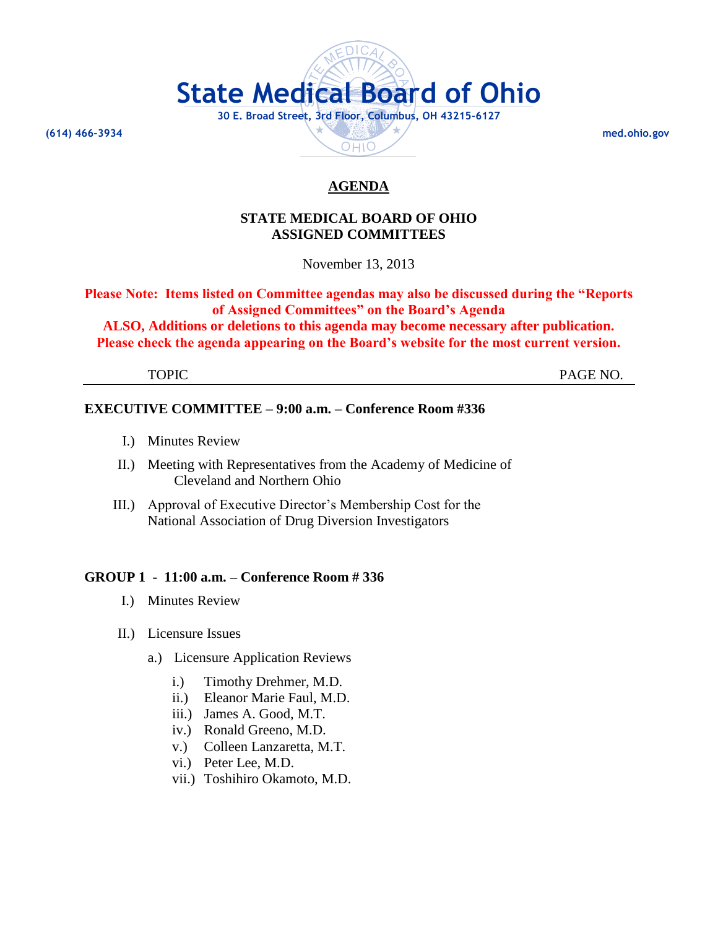

# **STATE MEDICAL BOARD OF OHIO ASSIGNED COMMITTEES**

November 13, 2013

**Please Note: Items listed on Committee agendas may also be discussed during the "Reports of Assigned Committees" on the Board's Agenda ALSO, Additions or deletions to this agenda may become necessary after publication.** 

**Please check the agenda appearing on the Board's website for the most current version.**

TOPIC PAGE NO.

# **EXECUTIVE COMMITTEE – 9:00 a.m. – Conference Room #336**

- I.) Minutes Review
- II.) Meeting with Representatives from the Academy of Medicine of Cleveland and Northern Ohio
- III.) Approval of Executive Director's Membership Cost for the National Association of Drug Diversion Investigators

# **GROUP 1 - 11:00 a.m. – Conference Room # 336**

- I.) Minutes Review
- II.) Licensure Issues
	- a.) Licensure Application Reviews
		- i.) Timothy Drehmer, M.D.
		- ii.) Eleanor Marie Faul, M.D.
		- iii.) James A. Good, M.T.
		- iv.) Ronald Greeno, M.D.
		- v.) Colleen Lanzaretta, M.T.
		- vi.) Peter Lee, M.D.
		- vii.) Toshihiro Okamoto, M.D.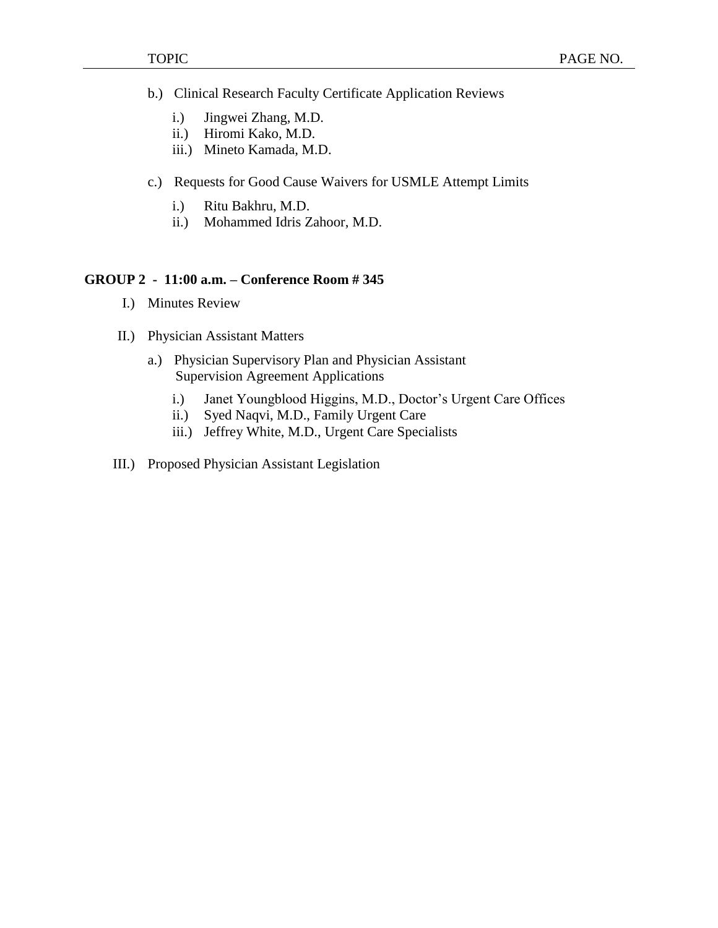- b.) Clinical Research Faculty Certificate Application Reviews
	- i.) Jingwei Zhang, M.D.
	- ii.) Hiromi Kako, M.D.
	- iii.) Mineto Kamada, M.D.
- c.) Requests for Good Cause Waivers for USMLE Attempt Limits
	- i.) Ritu Bakhru, M.D.
	- ii.) Mohammed Idris Zahoor, M.D.

# **GROUP 2 - 11:00 a.m. – Conference Room # 345**

- I.) Minutes Review
- II.) Physician Assistant Matters
	- a.) Physician Supervisory Plan and Physician Assistant Supervision Agreement Applications
		- i.) Janet Youngblood Higgins, M.D., Doctor's Urgent Care Offices
		- ii.) Syed Naqvi, M.D., Family Urgent Care
		- iii.) Jeffrey White, M.D., Urgent Care Specialists
- III.) Proposed Physician Assistant Legislation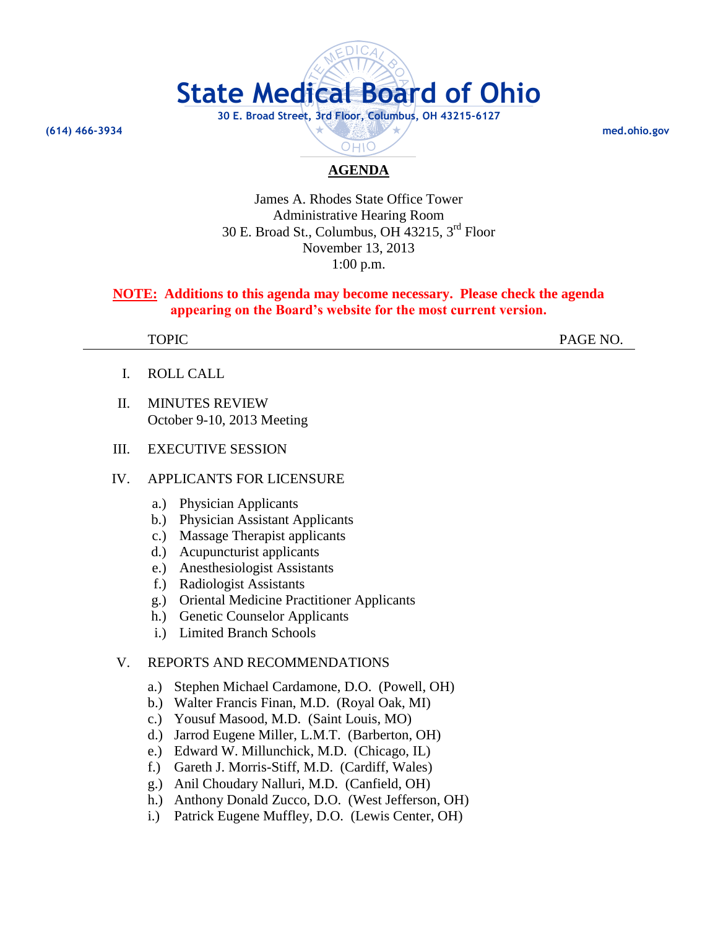

OHIO

James A. Rhodes State Office Tower Administrative Hearing Room 30 E. Broad St., Columbus, OH 43215, 3rd Floor November 13, 2013 1:00 p.m.

# **NOTE: Additions to this agenda may become necessary. Please check the agenda appearing on the Board's website for the most current version.**

TOPIC PAGE NO.

- I. ROLL CALL
- II. MINUTES REVIEW October 9-10, 2013 Meeting

## III. EXECUTIVE SESSION

## IV. APPLICANTS FOR LICENSURE

- a.) Physician Applicants
- b.) Physician Assistant Applicants
- c.) Massage Therapist applicants
- d.) Acupuncturist applicants
- e.) Anesthesiologist Assistants
- f.) Radiologist Assistants
- g.) Oriental Medicine Practitioner Applicants
- h.) Genetic Counselor Applicants
- i.) Limited Branch Schools

## V. REPORTS AND RECOMMENDATIONS

- a.) Stephen Michael Cardamone, D.O. (Powell, OH)
- b.) Walter Francis Finan, M.D. (Royal Oak, MI)
- c.) Yousuf Masood, M.D. (Saint Louis, MO)
- d.) Jarrod Eugene Miller, L.M.T. (Barberton, OH)
- e.) Edward W. Millunchick, M.D. (Chicago, IL)
- f.) Gareth J. Morris-Stiff, M.D. (Cardiff, Wales)
- g.) Anil Choudary Nalluri, M.D. (Canfield, OH)
- h.) Anthony Donald Zucco, D.O. (West Jefferson, OH)
- i.) Patrick Eugene Muffley, D.O. (Lewis Center, OH)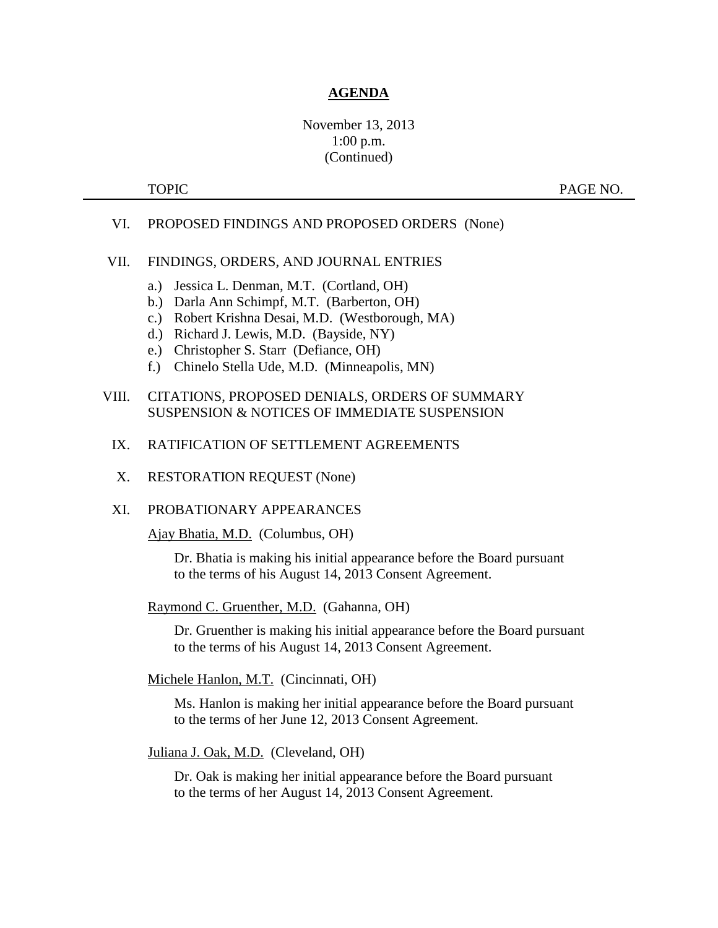# November 13, 2013 1:00 p.m. (Continued)

TOPIC PAGE NO.

## VI. PROPOSED FINDINGS AND PROPOSED ORDERS (None)

### VII. FINDINGS, ORDERS, AND JOURNAL ENTRIES

- a.) Jessica L. Denman, M.T. (Cortland, OH)
- b.) Darla Ann Schimpf, M.T. (Barberton, OH)
- c.) Robert Krishna Desai, M.D. (Westborough, MA)
- d.) Richard J. Lewis, M.D. (Bayside, NY)
- e.) Christopher S. Starr (Defiance, OH)
- f.) Chinelo Stella Ude, M.D. (Minneapolis, MN)

# VIII. CITATIONS, PROPOSED DENIALS, ORDERS OF SUMMARY SUSPENSION & NOTICES OF IMMEDIATE SUSPENSION

- IX. RATIFICATION OF SETTLEMENT AGREEMENTS
- X. RESTORATION REQUEST (None)
- XI. PROBATIONARY APPEARANCES

Ajay Bhatia, M.D. (Columbus, OH)

Dr. Bhatia is making his initial appearance before the Board pursuant to the terms of his August 14, 2013 Consent Agreement.

Raymond C. Gruenther, M.D. (Gahanna, OH)

Dr. Gruenther is making his initial appearance before the Board pursuant to the terms of his August 14, 2013 Consent Agreement.

Michele Hanlon, M.T. (Cincinnati, OH)

Ms. Hanlon is making her initial appearance before the Board pursuant to the terms of her June 12, 2013 Consent Agreement.

Juliana J. Oak, M.D. (Cleveland, OH)

Dr. Oak is making her initial appearance before the Board pursuant to the terms of her August 14, 2013 Consent Agreement.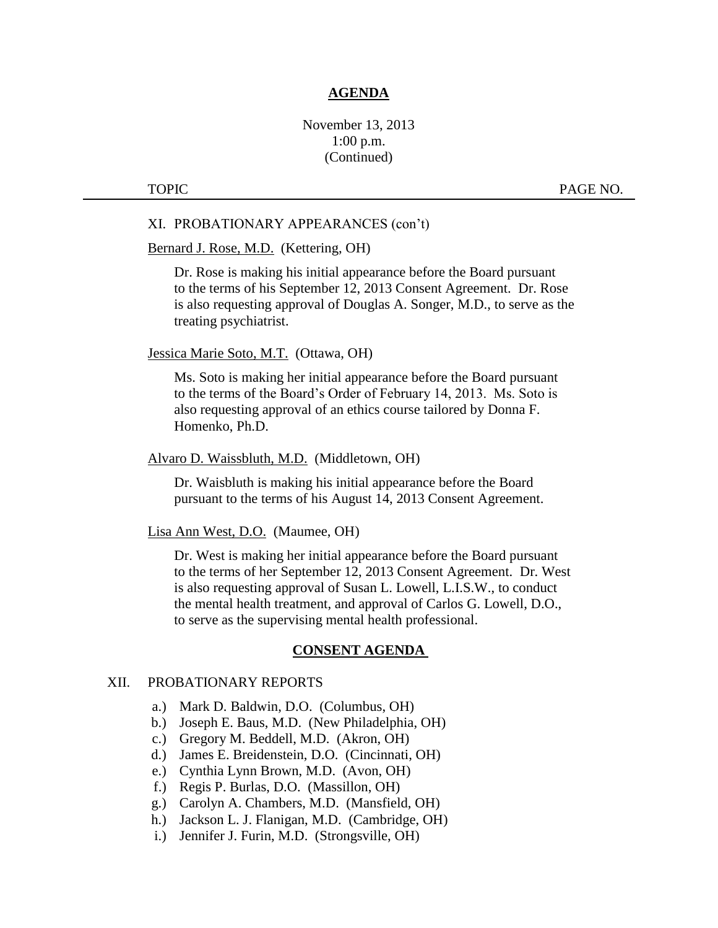# November 13, 2013 1:00 p.m. (Continued)

TOPIC PAGE NO.

#### XI. PROBATIONARY APPEARANCES (con't)

### Bernard J. Rose, M.D. (Kettering, OH)

Dr. Rose is making his initial appearance before the Board pursuant to the terms of his September 12, 2013 Consent Agreement. Dr. Rose is also requesting approval of Douglas A. Songer, M.D., to serve as the treating psychiatrist.

#### Jessica Marie Soto, M.T. (Ottawa, OH)

Ms. Soto is making her initial appearance before the Board pursuant to the terms of the Board's Order of February 14, 2013. Ms. Soto is also requesting approval of an ethics course tailored by Donna F. Homenko, Ph.D.

### Alvaro D. Waissbluth, M.D. (Middletown, OH)

Dr. Waisbluth is making his initial appearance before the Board pursuant to the terms of his August 14, 2013 Consent Agreement.

#### Lisa Ann West, D.O. (Maumee, OH)

Dr. West is making her initial appearance before the Board pursuant to the terms of her September 12, 2013 Consent Agreement. Dr. West is also requesting approval of Susan L. Lowell, L.I.S.W., to conduct the mental health treatment, and approval of Carlos G. Lowell, D.O., to serve as the supervising mental health professional.

## **CONSENT AGENDA**

## XII. PROBATIONARY REPORTS

- a.) Mark D. Baldwin, D.O. (Columbus, OH)
- b.) Joseph E. Baus, M.D. (New Philadelphia, OH)
- c.) Gregory M. Beddell, M.D. (Akron, OH)
- d.) James E. Breidenstein, D.O. (Cincinnati, OH)
- e.) Cynthia Lynn Brown, M.D. (Avon, OH)
- f.) Regis P. Burlas, D.O. (Massillon, OH)
- g.) Carolyn A. Chambers, M.D. (Mansfield, OH)
- h.) Jackson L. J. Flanigan, M.D. (Cambridge, OH)
- i.) Jennifer J. Furin, M.D. (Strongsville, OH)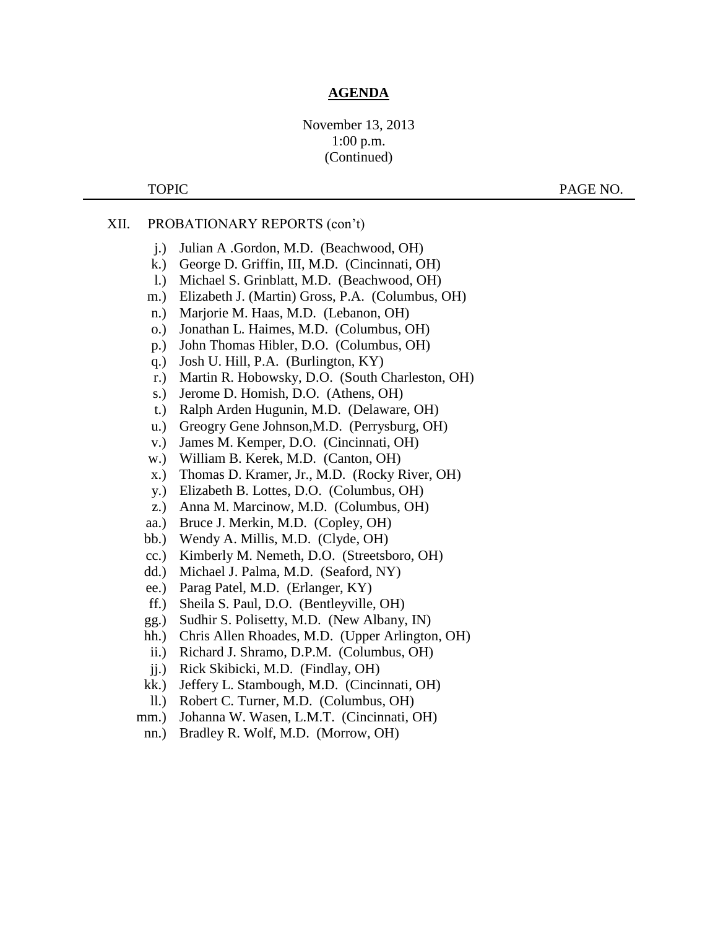# November 13, 2013 1:00 p.m. (Continued)

TOPIC PAGE NO.

# XII. PROBATIONARY REPORTS (con't)

- j.) Julian A .Gordon, M.D. (Beachwood, OH)
- k.) George D. Griffin, III, M.D. (Cincinnati, OH)
- l.) Michael S. Grinblatt, M.D. (Beachwood, OH)
- m.) Elizabeth J. (Martin) Gross, P.A. (Columbus, OH)
- n.) Marjorie M. Haas, M.D. (Lebanon, OH)
- o.) Jonathan L. Haimes, M.D. (Columbus, OH)
- p.) John Thomas Hibler, D.O. (Columbus, OH)
- q.) Josh U. Hill, P.A. (Burlington, KY)
- r.) Martin R. Hobowsky, D.O. (South Charleston, OH)
- s.) Jerome D. Homish, D.O. (Athens, OH)
- t.) Ralph Arden Hugunin, M.D. (Delaware, OH)
- u.) Greogry Gene Johnson,M.D. (Perrysburg, OH)
- v.) James M. Kemper, D.O. (Cincinnati, OH)
- w.) William B. Kerek, M.D. (Canton, OH)
- x.) Thomas D. Kramer, Jr., M.D. (Rocky River, OH)
- y.) Elizabeth B. Lottes, D.O. (Columbus, OH)
- z.) Anna M. Marcinow, M.D. (Columbus, OH)
- aa.) Bruce J. Merkin, M.D. (Copley, OH)
- bb.) Wendy A. Millis, M.D. (Clyde, OH)
- cc.) Kimberly M. Nemeth, D.O. (Streetsboro, OH)
- dd.) Michael J. Palma, M.D. (Seaford, NY)
- ee.) Parag Patel, M.D. (Erlanger, KY)
- ff.) Sheila S. Paul, D.O. (Bentleyville, OH)
- gg.) Sudhir S. Polisetty, M.D. (New Albany, IN)
- hh.) Chris Allen Rhoades, M.D. (Upper Arlington, OH)
- ii.) Richard J. Shramo, D.P.M. (Columbus, OH)
- jj.) Rick Skibicki, M.D. (Findlay, OH)
- kk.) Jeffery L. Stambough, M.D. (Cincinnati, OH)
- ll.) Robert C. Turner, M.D. (Columbus, OH)
- mm.) Johanna W. Wasen, L.M.T. (Cincinnati, OH)
- nn.) Bradley R. Wolf, M.D. (Morrow, OH)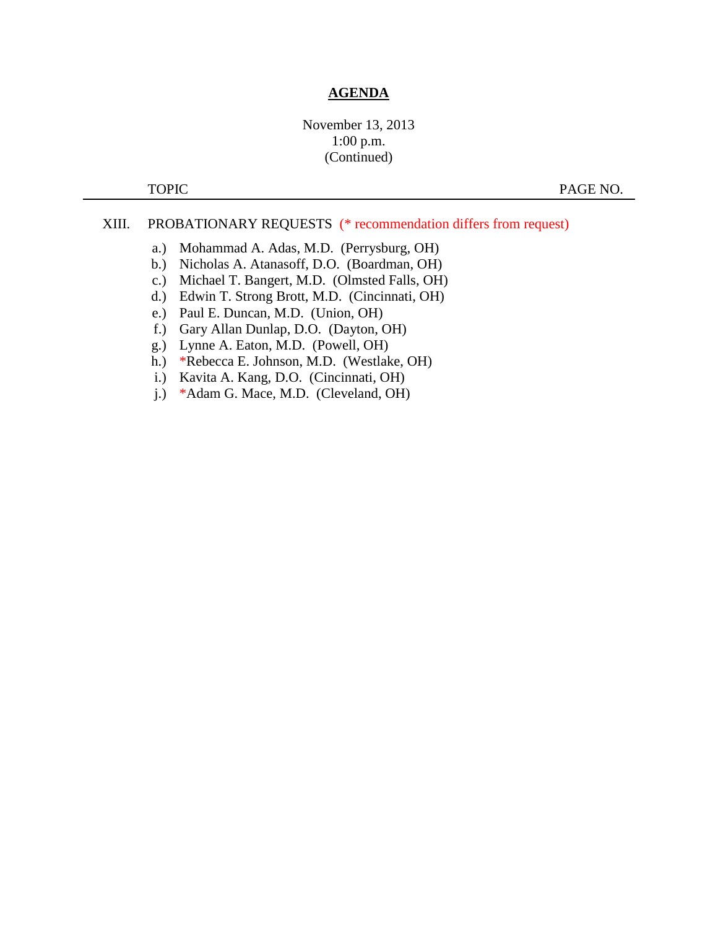# November 13, 2013 1:00 p.m. (Continued)

TOPIC PAGE NO.

## XIII. PROBATIONARY REQUESTS (\* recommendation differs from request)

- a.) Mohammad A. Adas, M.D. (Perrysburg, OH)
- b.) Nicholas A. Atanasoff, D.O. (Boardman, OH)
- c.) Michael T. Bangert, M.D. (Olmsted Falls, OH)
- d.) Edwin T. Strong Brott, M.D. (Cincinnati, OH)
- e.) Paul E. Duncan, M.D. (Union, OH)
- f.) Gary Allan Dunlap, D.O. (Dayton, OH)
- g.) Lynne A. Eaton, M.D. (Powell, OH)
- h.) \*Rebecca E. Johnson, M.D. (Westlake, OH)
- i.) Kavita A. Kang, D.O. (Cincinnati, OH)
- j.) \*Adam G. Mace, M.D. (Cleveland, OH)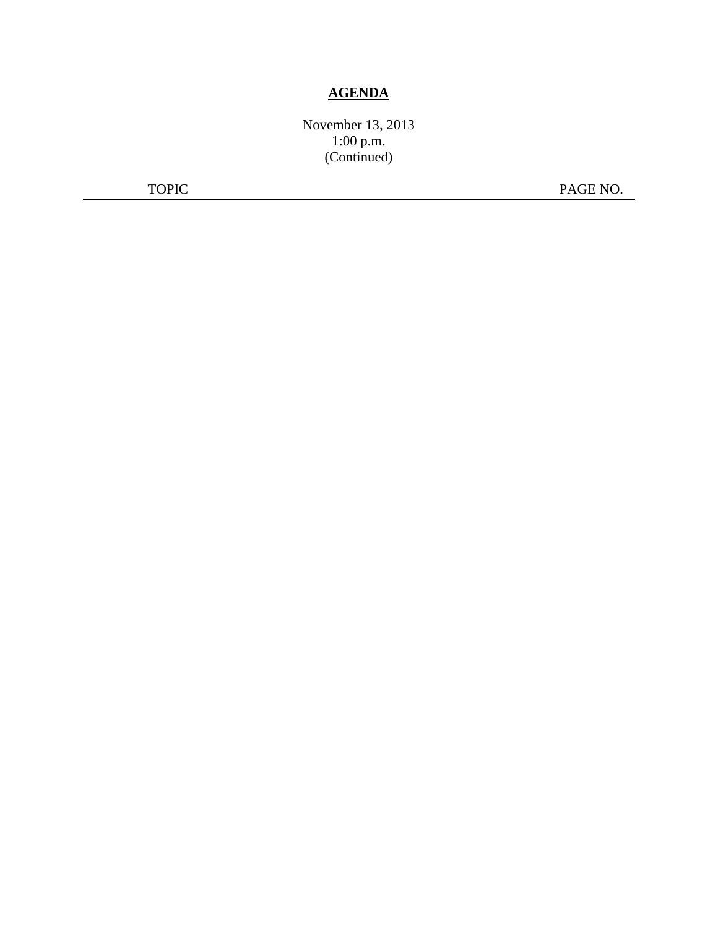November 13, 2013 1:00 p.m. (Continued)

TOPIC PAGE NO.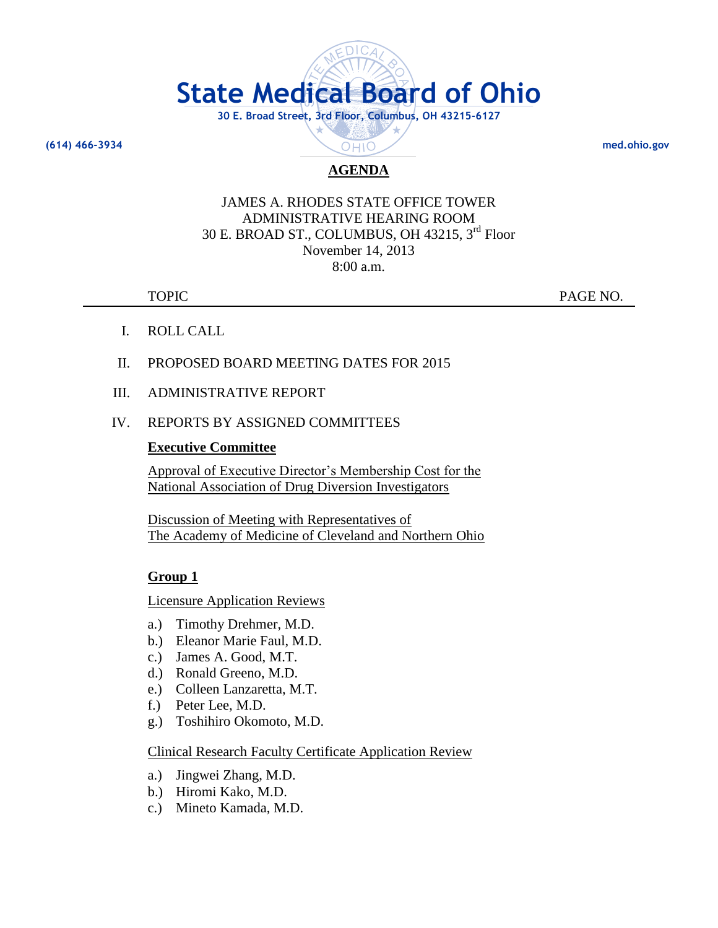

**(614) 466-3934 med.ohio.gov**

# **AGENDA**

# JAMES A. RHODES STATE OFFICE TOWER ADMINISTRATIVE HEARING ROOM 30 E. BROAD ST., COLUMBUS, OH 43215, 3rd Floor November 14, 2013 8:00 a.m.

TOPIC PAGE NO.

- I. ROLL CALL
- II. PROPOSED BOARD MEETING DATES FOR 2015
- III. ADMINISTRATIVE REPORT
- IV. REPORTS BY ASSIGNED COMMITTEES

# **Executive Committee**

Approval of Executive Director's Membership Cost for the National Association of Drug Diversion Investigators

Discussion of Meeting with Representatives of The Academy of Medicine of Cleveland and Northern Ohio

# **Group 1**

Licensure Application Reviews

- a.) Timothy Drehmer, M.D.
- b.) Eleanor Marie Faul, M.D.
- c.) James A. Good, M.T.
- d.) Ronald Greeno, M.D.
- e.) Colleen Lanzaretta, M.T.
- f.) Peter Lee, M.D.
- g.) Toshihiro Okomoto, M.D.

Clinical Research Faculty Certificate Application Review

- a.) Jingwei Zhang, M.D.
- b.) Hiromi Kako, M.D.
- c.) Mineto Kamada, M.D.